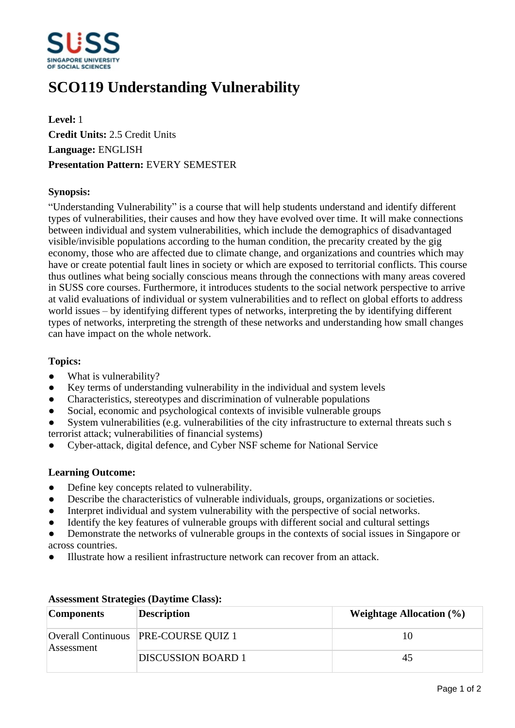

# **SCO119 Understanding Vulnerability**

**Level:** 1 **Credit Units:** 2.5 Credit Units **Language:** ENGLISH **Presentation Pattern:** EVERY SEMESTER

## **Synopsis:**

"Understanding Vulnerability" is a course that will help students understand and identify different types of vulnerabilities, their causes and how they have evolved over time. It will make connections between individual and system vulnerabilities, which include the demographics of disadvantaged visible/invisible populations according to the human condition, the precarity created by the gig economy, those who are affected due to climate change, and organizations and countries which may have or create potential fault lines in society or which are exposed to territorial conflicts. This course thus outlines what being socially conscious means through the connections with many areas covered in SUSS core courses. Furthermore, it introduces students to the social network perspective to arrive at valid evaluations of individual or system vulnerabilities and to reflect on global efforts to address world issues  $-$  by identifying different types of networks, interpreting the by identifying different types of networks, interpreting the strength of these networks and understanding how small changes can have impact on the whole network.

#### **Topics:**

- What is vulnerability?
- Key terms of understanding vulnerability in the individual and system levels
- ƔCharacteristics, stereotypes and discrimination of vulnerable populations
- Social, economic and psychological contexts of invisible vulnerable groups
- System vulnerabilities (e.g. vulnerabilities of the city infrastructure to external threats such s terrorist attack; vulnerabilities of financial systems)
- ƔCyber-attack, digital defence, and Cyber NSF scheme for National Service

#### **Learning Outcome:**

- Define key concepts related to vulnerability.
- Describe the characteristics of vulnerable individuals, groups, organizations or societies.
- Interpret individual and system vulnerability with the perspective of social networks.
- Identify the key features of vulnerable groups with different social and cultural settings
- Demonstrate the networks of vulnerable groups in the contexts of social issues in Singapore or across countries.
- ƔIllustrate how a resilient infrastructure network can recover from an attack.

| <b>Components</b> | <b>Description</b>                     | <b>Weightage Allocation (%)</b> |
|-------------------|----------------------------------------|---------------------------------|
| Assessment        | Overall Continuous   PRE-COURSE QUIZ 1 | 10                              |
|                   | <b>DISCUSSION BOARD 1</b>              | 45                              |

## **Assessment Strategies (Daytime Class):**